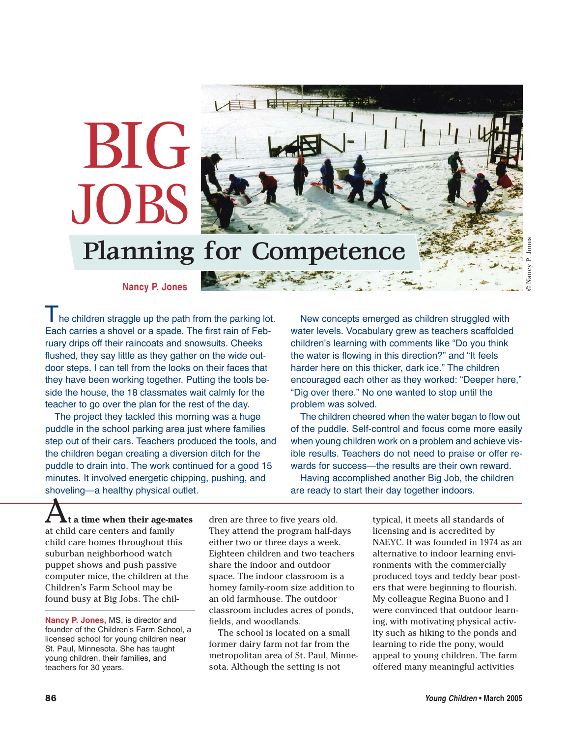

**Nancy P. Jones**

Planning for Competence

BIG

JOBS

The children straggle up the path from the parking lot. Each carries a shovel or a spade. The first rain of February drips off their raincoats and snowsuits. Cheeks flushed, they say little as they gather on the wide outdoor steps. I can tell from the looks on their faces that they have been working together. Putting the tools beside the house, the 18 classmates wait calmly for the teacher to go over the plan for the rest of the day.

The project they tackled this morning was a huge puddle in the school parking area just where families step out of their cars. Teachers produced the tools, and the children began creating a diversion ditch for the puddle to drain into. The work continued for a good 15 minutes. It involved energetic chipping, pushing, and shoveling—a healthy physical outlet.

New concepts emerged as children struggled with water levels. Vocabulary grew as teachers scaffolded children's learning with comments like "Do you think the water is flowing in this direction?" and "It feels harder here on this thicker, dark ice." The children encouraged each other as they worked: "Deeper here," "Dig over there." No one wanted to stop until the problem was solved.

The children cheered when the water began to flow out of the puddle. Self-control and focus come more easily when young children work on a problem and achieve visible results. Teachers do not need to praise or offer rewards for success—the results are their own reward.

Having accomplished another Big Job, the children are ready to start their day together indoors.

A**t a time when their age-mates** at child care centers and family child care homes throughout this suburban neighborhood watch puppet shows and push passive computer mice, the children at the Children's Farm School may be found busy at Big Jobs. The chil-

**Nancy P. Jones,** MS, is director and founder of the Children's Farm School, a licensed school for young children near St. Paul, Minnesota. She has taught young children, their families, and teachers for 30 years.

dren are three to five years old. They attend the program half-days either two or three days a week. Eighteen children and two teachers share the indoor and outdoor space. The indoor classroom is a homey family-room size addition to an old farmhouse. The outdoor classroom includes acres of ponds, fields, and woodlands.

The school is located on a small former dairy farm not far from the metropolitan area of St. Paul, Minnesota. Although the setting is not

typical, it meets all standards of licensing and is accredited by NAEYC. It was founded in 1974 as an alternative to indoor learning environments with the commercially produced toys and teddy bear posters that were beginning to flourish. My colleague Regina Buono and I were convinced that outdoor learning, with motivating physical activity such as hiking to the ponds and learning to ride the pony, would appeal to young children. The farm offered many meaningful activities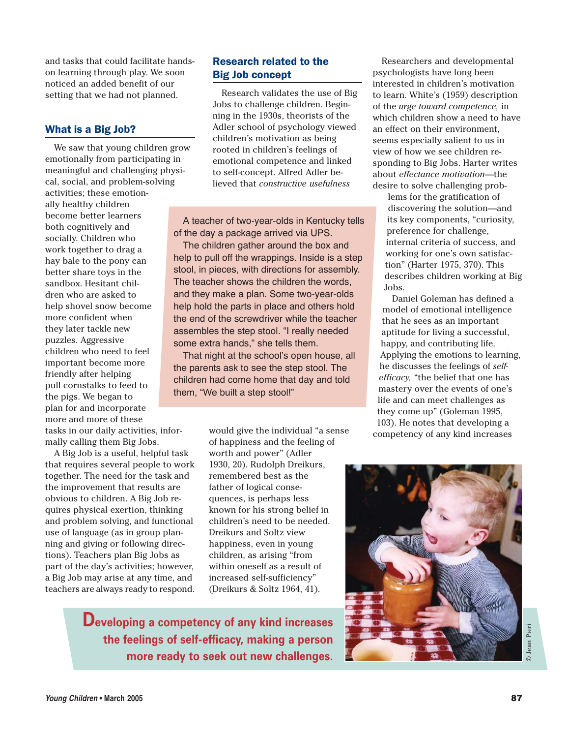and tasks that could facilitate handson learning through play. We soon noticed an added benefit of our setting that we had not planned.

### What is a Big Job?

We saw that young children grow emotionally from participating in meaningful and challenging physical, social, and problem-solving activities; these emotionally healthy children become better learners both cognitively and socially. Children who work together to drag a hay bale to the pony can better share toys in the sandbox. Hesitant children who are asked to help shovel snow become more confident when they later tackle new puzzles. Aggressive children who need to feel important become more friendly after helping pull cornstalks to feed to the pigs. We began to plan for and incorporate more and more of these tasks in our daily activities, informally calling them Big Jobs.

A Big Job is a useful, helpful task that requires several people to work together. The need for the task and the improvement that results are obvious to children. A Big Job requires physical exertion, thinking and problem solving, and functional use of language (as in group planning and giving or following directions). Teachers plan Big Jobs as part of the day's activities; however, a Big Job may arise at any time, and teachers are always ready to respond.

# Research related to the Big Job concept

Research validates the use of Big Jobs to challenge children. Beginning in the 1930s, theorists of the Adler school of psychology viewed children's motivation as being rooted in children's feelings of emotional competence and linked to self-concept. Alfred Adler believed that *constructive usefulness*

A teacher of two-year-olds in Kentucky tells of the day a package arrived via UPS.

The children gather around the box and help to pull off the wrappings. Inside is a step stool, in pieces, with directions for assembly. The teacher shows the children the words, and they make a plan. Some two-year-olds help hold the parts in place and others hold the end of the screwdriver while the teacher assembles the step stool. "I really needed some extra hands," she tells them.

That night at the school's open house, all the parents ask to see the step stool. The children had come home that day and told them, "We built a step stool!"

> would give the individual "a sense of happiness and the feeling of worth and power" (Adler 1930, 20). Rudolph Dreikurs, remembered best as the father of logical consequences, is perhaps less known for his strong belief in children's need to be needed. Dreikurs and Soltz view happiness, even in young children, as arising "from within oneself as a result of increased self-sufficiency" (Dreikurs & Soltz 1964, 41).

Developing a competency of any kind increases the feelings of self-efficacy, making a person more ready to seek out new challenges.

Researchers and developmental psychologists have long been interested in children's motivation to learn. White's (1959) description of the *urge toward competence,* in which children show a need to have an effect on their environment, seems especially salient to us in view of how we see children responding to Big Jobs. Harter writes about *effectance motivation*—the desire to solve challenging prob-

lems for the gratification of discovering the solution—and its key components, "curiosity, preference for challenge, internal criteria of success, and working for one's own satisfaction" (Harter 1975, 370). This describes children working at Big Jobs.

Daniel Goleman has defined a model of emotional intelligence that he sees as an important aptitude for living a successful, happy, and contributing life. Applying the emotions to learning, he discusses the feelings of *selfefficacy,* "the belief that one has mastery over the events of one's life and can meet challenges as they come up" (Goleman 1995, 103). He notes that developing a competency of any kind increases



© Jean Pieri

**Jean Pieri**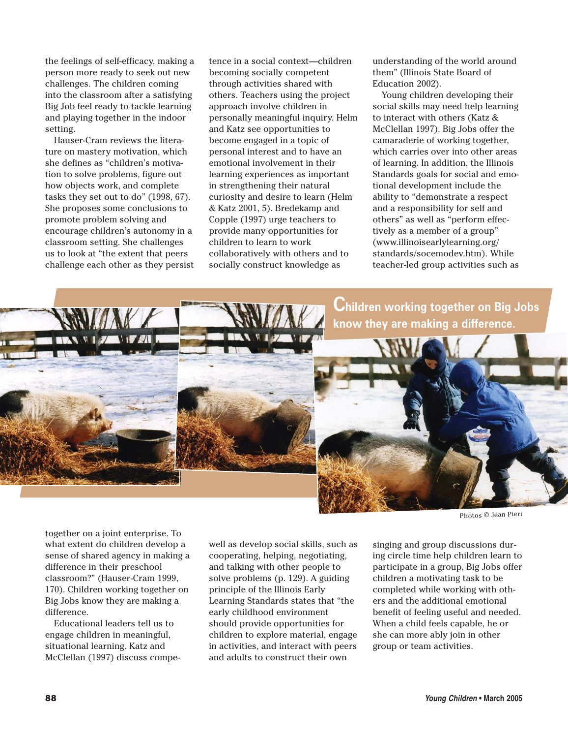the feelings of self-efficacy, making a person more ready to seek out new challenges. The children coming into the classroom after a satisfying Big Job feel ready to tackle learning and playing together in the indoor setting.

Hauser-Cram reviews the literature on mastery motivation, which she defines as "children's motivation to solve problems, figure out how objects work, and complete tasks they set out to do" (1998, 67). She proposes some conclusions to promote problem solving and encourage children's autonomy in a classroom setting. She challenges us to look at "the extent that peers challenge each other as they persist tence in a social context—children becoming socially competent through activities shared with others. Teachers using the project approach involve children in personally meaningful inquiry. Helm and Katz see opportunities to become engaged in a topic of personal interest and to have an emotional involvement in their learning experiences as important in strengthening their natural curiosity and desire to learn (Helm & Katz 2001, 5). Bredekamp and Copple (1997) urge teachers to provide many opportunities for children to learn to work collaboratively with others and to socially construct knowledge as

understanding of the world around them" (Illinois State Board of Education 2002).

Young children developing their social skills may need help learning to interact with others (Katz & McClellan 1997). Big Jobs offer the camaraderie of working together, which carries over into other areas of learning. In addition, the Illinois Standards goals for social and emotional development include the ability to "demonstrate a respect and a responsibility for self and others" as well as "perform effectively as a member of a group" (www.illinoisearlylearning.org/ standards/socemodev.htm). While teacher-led group activities such as



Photos © Jean Pieri

together on a joint enterprise. To what extent do children develop a sense of shared agency in making a difference in their preschool classroom?" (Hauser-Cram 1999, 170). Children working together on Big Jobs know they are making a difference.

Educational leaders tell us to engage children in meaningful, situational learning. Katz and McClellan (1997) discuss compewell as develop social skills, such as cooperating, helping, negotiating, and talking with other people to solve problems (p. 129). A guiding principle of the Illinois Early Learning Standards states that "the early childhood environment should provide opportunities for children to explore material, engage in activities, and interact with peers and adults to construct their own

singing and group discussions during circle time help children learn to participate in a group, Big Jobs offer children a motivating task to be completed while working with others and the additional emotional benefit of feeling useful and needed. When a child feels capable, he or she can more ably join in other group or team activities.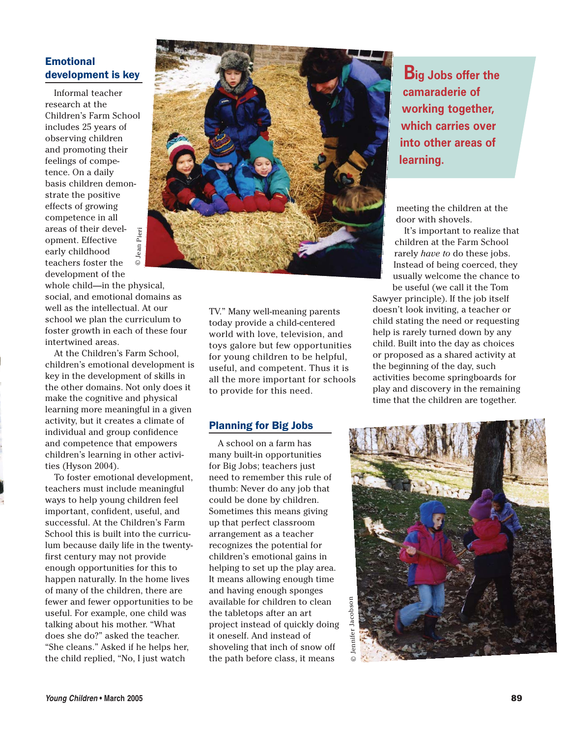# **Emotional** development is key

Informal teacher research at the Children's Farm School includes 25 years of observing children and promoting their feelings of competence. On a daily basis children demonstrate the positive effects of growing competence in all areas of their devel-© Jean Pieri © Jean Pieriopment. Effective early childhood teachers foster the development of the

whole child—in the physical, social, and emotional domains as well as the intellectual. At our school we plan the curriculum to foster growth in each of these four intertwined areas.

At the Children's Farm School, children's emotional development is key in the development of skills in the other domains. Not only does it make the cognitive and physical learning more meaningful in a given activity, but it creates a climate of individual and group confidence and competence that empowers children's learning in other activities (Hyson 2004).

To foster emotional development, teachers must include meaningful ways to help young children feel important, confident, useful, and successful. At the Children's Farm School this is built into the curriculum because daily life in the twentyfirst century may not provide enough opportunities for this to happen naturally. In the home lives of many of the children, there are fewer and fewer opportunities to be useful. For example, one child was talking about his mother. "What does she do?" asked the teacher. "She cleans." Asked if he helps her, the child replied, "No, I just watch



TV." Many well-meaning parents today provide a child-centered world with love, television, and toys galore but few opportunities for young children to be helpful, useful, and competent. Thus it is all the more important for schools to provide for this need.

#### Planning for Big Jobs

A school on a farm has many built-in opportunities for Big Jobs; teachers just need to remember this rule of thumb: Never do any job that could be done by children. Sometimes this means giving up that perfect classroom arrangement as a teacher recognizes the potential for children's emotional gains in helping to set up the play area. It means allowing enough time and having enough sponges available for children to clean the tabletops after an art project instead of quickly doing it oneself. And instead of shoveling that inch of snow off the path before class, it means

**Big Jobs offer the** camaraderie of working together, which carries over into other areas of learning.

meeting the children at the door with shovels.

It's important to realize that children at the Farm School rarely *have to* do these jobs. Instead of being coerced, they usually welcome the chance to be useful (we call it the Tom

Sawyer principle). If the job itself doesn't look inviting, a teacher or child stating the need or requesting help is rarely turned down by any child. Built into the day as choices or proposed as a shared activity at the beginning of the day, such activities become springboards for play and discovery in the remaining time that the children are together.

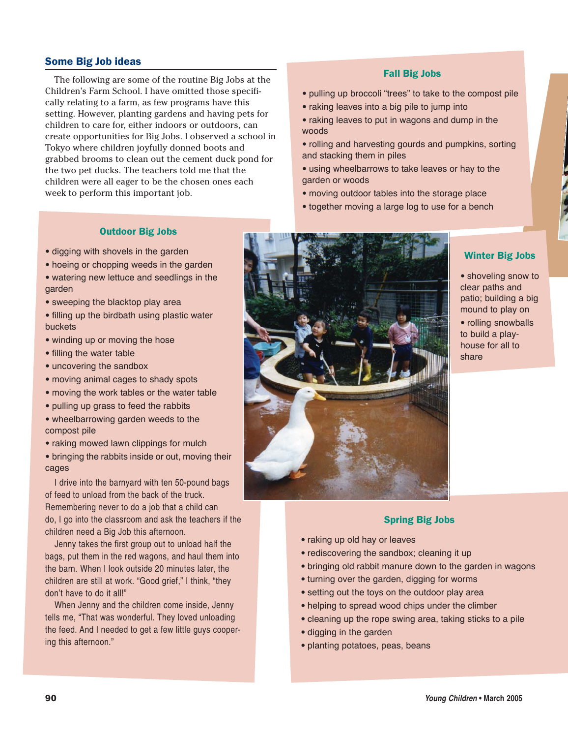## Some Big Job ideas

The following are some of the routine Big Jobs at the Children's Farm School. I have omitted those specifically relating to a farm, as few programs have this setting. However, planting gardens and having pets for children to care for, either indoors or outdoors, can create opportunities for Big Jobs. I observed a school in Tokyo where children joyfully donned boots and grabbed brooms to clean out the cement duck pond for the two pet ducks. The teachers told me that the children were all eager to be the chosen ones each week to perform this important job.

#### Fall Big Jobs

- pulling up broccoli "trees" to take to the compost pile
- raking leaves into a big pile to jump into
- raking leaves to put in wagons and dump in the woods
- rolling and harvesting gourds and pumpkins, sorting and stacking them in piles
- using wheelbarrows to take leaves or hay to the garden or woods
- moving outdoor tables into the storage place
- together moving a large log to use for a bench

#### Outdoor Big Jobs

- digging with shovels in the garden
- hoeing or chopping weeds in the garden
- watering new lettuce and seedlings in the garden
- sweeping the blacktop play area
- filling up the birdbath using plastic water buckets
- winding up or moving the hose
- filling the water table
- uncovering the sandbox
- moving animal cages to shady spots
- moving the work tables or the water table
- pulling up grass to feed the rabbits
- wheelbarrowing garden weeds to the compost pile
- raking mowed lawn clippings for mulch

• bringing the rabbits inside or out, moving their cages

I drive into the barnyard with ten 50-pound bags of feed to unload from the back of the truck. Remembering never to do a job that a child can do, I go into the classroom and ask the teachers if the children need a Big Job this afternoon.

Jenny takes the first group out to unload half the bags, put them in the red wagons, and haul them into the barn. When I look outside 20 minutes later, the children are still at work. "Good grief," I think, "they don't have to do it all!"

When Jenny and the children come inside, Jenny tells me, "That was wonderful. They loved unloading the feed. And I needed to get a few little guys coopering this afternoon."



## Winter Big Jobs

• shoveling snow to clear paths and patio; building a big mound to play on • rolling snowballs to build a playhouse for all to share

## Spring Big Jobs

- raking up old hay or leaves
- rediscovering the sandbox; cleaning it up
- bringing old rabbit manure down to the garden in wagons
- turning over the garden, digging for worms
- setting out the toys on the outdoor play area
- helping to spread wood chips under the climber
- cleaning up the rope swing area, taking sticks to a pile
- digging in the garden
- planting potatoes, peas, beans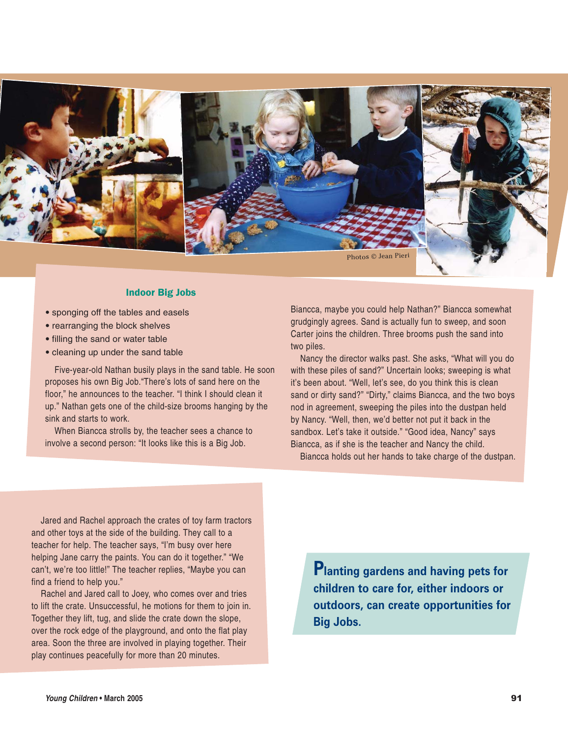

#### Indoor Big Jobs

- sponging off the tables and easels
- rearranging the block shelves
- filling the sand or water table
- cleaning up under the sand table

Five-year-old Nathan busily plays in the sand table. He soon proposes his own Big Job."There's lots of sand here on the floor," he announces to the teacher. "I think I should clean it up." Nathan gets one of the child-size brooms hanging by the sink and starts to work.

When Biancca strolls by, the teacher sees a chance to involve a second person: "It looks like this is a Big Job.

Biancca, maybe you could help Nathan?" Biancca somewhat grudgingly agrees. Sand is actually fun to sweep, and soon Carter joins the children. Three brooms push the sand into two piles.

Nancy the director walks past. She asks, "What will you do with these piles of sand?" Uncertain looks; sweeping is what it's been about. "Well, let's see, do you think this is clean sand or dirty sand?" "Dirty," claims Biancca, and the two boys nod in agreement, sweeping the piles into the dustpan held by Nancy. "Well, then, we'd better not put it back in the sandbox. Let's take it outside." "Good idea, Nancy" says Biancca, as if she is the teacher and Nancy the child.

Biancca holds out her hands to take charge of the dustpan.

Jared and Rachel approach the crates of toy farm tractors and other toys at the side of the building. They call to a teacher for help. The teacher says, "I'm busy over here helping Jane carry the paints. You can do it together." "We can't, we're too little!" The teacher replies, "Maybe you can find a friend to help you."

Rachel and Jared call to Joey, who comes over and tries to lift the crate. Unsuccessful, he motions for them to join in. Together they lift, tug, and slide the crate down the slope, over the rock edge of the playground, and onto the flat play area. Soon the three are involved in playing together. Their play continues peacefully for more than 20 minutes.

Planting gardens and having pets for children to care for, either indoors or outdoors, can create opportunities for Big Jobs.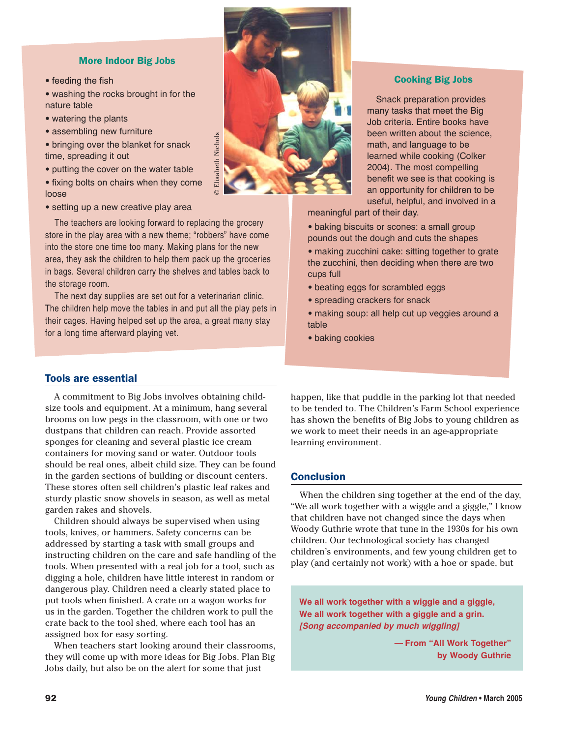#### More Indoor Big Jobs

• feeding the fish

• washing the rocks brought in for the nature table

- watering the plants
- assembling new furniture

• bringing over the blanket for snack time, spreading it out

• putting the cover on the water table

• fixing bolts on chairs when they come loose

• setting up a new creative play area

The teachers are looking forward to replacing the grocery store in the play area with a new theme; "robbers" have come into the store one time too many. Making plans for the new area, they ask the children to help them pack up the groceries in bags. Several children carry the shelves and tables back to the storage room.

The next day supplies are set out for a veterinarian clinic. The children help move the tables in and put all the play pets in their cages. Having helped set up the area, a great many stay for a long time afterward playing vet.

## Tools are essential

A commitment to Big Jobs involves obtaining childsize tools and equipment. At a minimum, hang several brooms on low pegs in the classroom, with one or two dustpans that children can reach. Provide assorted sponges for cleaning and several plastic ice cream containers for moving sand or water. Outdoor tools should be real ones, albeit child size. They can be found in the garden sections of building or discount centers. These stores often sell children's plastic leaf rakes and sturdy plastic snow shovels in season, as well as metal garden rakes and shovels.

Children should always be supervised when using tools, knives, or hammers. Safety concerns can be addressed by starting a task with small groups and instructing children on the care and safe handling of the tools. When presented with a real job for a tool, such as digging a hole, children have little interest in random or dangerous play. Children need a clearly stated place to put tools when finished. A crate on a wagon works for us in the garden. Together the children work to pull the crate back to the tool shed, where each tool has an assigned box for easy sorting.

When teachers start looking around their classrooms, they will come up with more ideas for Big Jobs. Plan Big Jobs daily, but also be on the alert for some that just



### Cooking Big Jobs

Snack preparation provides many tasks that meet the Big Job criteria. Entire books have been written about the science, math, and language to be learned while cooking (Colker 2004). The most compelling benefit we see is that cooking is an opportunity for children to be useful, helpful, and involved in a

meaningful part of their day.

- baking biscuits or scones: a small group pounds out the dough and cuts the shapes
- making zucchini cake: sitting together to grate the zucchini, then deciding when there are two cups full
- beating eggs for scrambled eggs
- spreading crackers for snack
- making soup: all help cut up veggies around a table
- baking cookies

happen, like that puddle in the parking lot that needed to be tended to. The Children's Farm School experience has shown the benefits of Big Jobs to young children as we work to meet their needs in an age-appropriate learning environment.

## Conclusion

When the children sing together at the end of the day, "We all work together with a wiggle and a giggle," I know that children have not changed since the days when Woody Guthrie wrote that tune in the 1930s for his own children. Our technological society has changed children's environments, and few young children get to play (and certainly not work) with a hoe or spade, but

*We all work together with a wiggle and a giggle, We all work together with a giggle and a grin.* **[Song accompanied by much wiggling]**

> *— From "All Work Together" by Woody Guthrie*